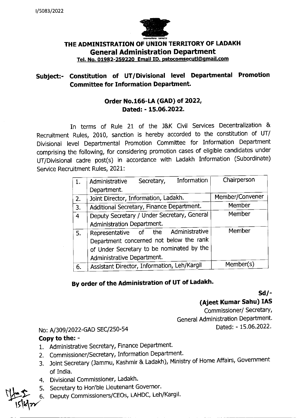

### **THE ADMINISTRATION OF UNION TERRITORY OF LADAKH General Administration Department Tel. No. 01982-259220 Email ID. pstocomsecutl@cimail.com**

## **Subject:- Constitution of UT/Divisional level Departmental Promotion Committee for Information Department.**

### **Order No.166-LA (GAD) of 2022, Dated:** - **15.06.2022.**

In terms of Rule 21 of the J&K Civil Services Decentralization & Recruitment Rules, 2010, sanction is hereby accorded to the constitution of UT/ Divisional level Departmental Promotion Committee for Information Department comprising the following, for considering promotion cases of eligible candidates under UT/Divisional cadre post(s) in accordance with Ladakh Information (Subordinate) Service Recruitment Rules, 2021:

|    | Information<br>Secretary,<br>Administrative | Chairperson     |
|----|---------------------------------------------|-----------------|
|    | Department.                                 |                 |
| 2. | Joint Director, Information, Ladakh.        | Member/Convener |
| 3. | Additional Secretary, Finance Department.   | Member          |
| 4  | Deputy Secretary / Under Secretary, General | Member          |
|    | Administration Department.                  |                 |
| 5. | Representative of the Administrative        | Member          |
|    | Department concerned not below the rank     |                 |
|    | of Under Secretary to be nominated by the   |                 |
|    | Administrative Department.                  |                 |
| 6. | Assistant Director, Information, Leh/Kargil | Member(s)       |

# **By order of the Administration of UT of Ladakh.**

**Sd/** -

**(Ajeet Kumar Sahu) lAS** 

General Administration Department. Commissioner/ Secretary, Dated: - 15.06.2022.

### No: A/309/2022-GAD SEC/250-54

#### **Copy to the:** -

- 1. Administrative Secretary, Finance Department.
- 2. commissioner/Secretary, Information Department.
- 3. Joint Secretary (Jammu, Kashmir & Ladakh), Ministry of Home Affairs, Government of India.
- 4. Divisional Commissioner, Ladakh.
- 5. Secretary to Hon'ble Lieutenant Governor.
- 6. Deputy Commissioners/CEOs, LAHDC, Leh/Kargil.

<sup>H</sup>L